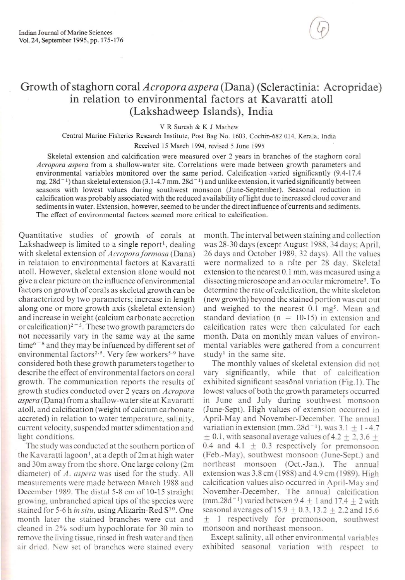## Growth of staghorn coral *Acropora aspera* (Dana) (Scleractinia: Acropridae) in relation to environmental factors at Kavaratti atoll (Lakshadweep Islands), India

V **R Suresh & K J Mathew** 

**Central Marine Fisheries Research Institute. Post Bag No. 1603. Cochin-682 014, Kerala, India Received 15 March 1994. revised 5 June 1995** 

**Skeletal extension and calcification were measured over 2 years in branches of the staghorn coral**  *Acropora aspera* **from a shallow-water site. Correlations were made between growth parameters and environmental variables monitored over the same period. Calcification varied significantly**  $(9.4-17.4)$ mg.  $28d^{-1}$ ) than skeletal extension (3.1-4.7 mm.  $28d^{-1}$ ) and unlike extension, it varied significantly between **seasons with lowest values during southwest monsoon (June-September). Seasonal reduction in calcification was probably associated with the reduced availability oflight due to increased cloud cover and sediments in water. Extension, however, seemed to be under the direct influence** of currents and **sediments.**  The effect of environmental factors seemed more critical to calcification.

Quantitative studies of growth of corals at Lakshadweep is limited to a single report<sup>1</sup>, dealing with skeletal extension of *Acropora formosa* (Dana) in relataion to environmental factors at Kavaratti atoll. However, skcletal extension alone would not **give a clear picture on the in fluence of environmental**  factors on growth of corals as skeletal growth ran be **characterized by two parameters; increase in length**  along one or more growth axis (skeletal extension) and increase in weight (calcium carbonate accretion or calcification)<sup>2-5</sup>. These two growth parameters do **not necessarily vary in the same way at the same**   $time<sup>6-8</sup>$  and they may be infuenced by different set of **environmental factors<sup>2,5</sup>. Very few workers<sup>5,9</sup> have** considered both these growth parameters together to describe the effect of environmental factors on coral growth. The communication reports the results of growth st udies conducted over 2 years on *Acropora aspera* (Dana) from a shallow-water site at Kavaratti atoll. and calcification (weight of calcium carbonate accreted) in relation to water temperature, salinity, current velocity, suspended matter sdimentation and light conditions.

The study was conducted at the southern portion of the Kavaratti lagoon', at a depth of 2m at high water **and 30m away from the shore. One large colony (2m**  diamctcr) of *A. aspera* was used for the study. All measurcments werc made between March 1988 and December 1989. The distal 5-8 em of 10-15 straight **growing, unbranched apical ti ps orthe species- were**  stained for 5-6 h in situ, using Alizarin-Red  $S^{10}$ . One **month later the stained branches were cut and**  cleaned in 2% sodium hypochlorate for 30 min to **remove the living tissue, rinsed in fresh water and then air dried . New set of branches were stained every** 

month. The interval between staining and collection was 28-30 days (except August 1988,34 days: April, 26 days and October 1989, 32 days). All the values were normalized to a rate per 28 day. Skeletal **extension to the nearest 0.1 mm, was measured using a dissecting microscope and an ocular micrometres. To**  determine the rate of calcification, the white skeleton (new growth) beyond the stained portion was cut out and weighed to the nearest 0.1 mg<sup>5</sup>. Mean and standard deviation ( $n = 10-15$ ) in extension and calcification rates were then calculated for each month. Data on monthly mean values of environmental variables were gathered from a concurrent study<sup>1</sup> in the same site.

The monthly values of skeletal extension did not vary significantly, while that of calcification exhibited significant seasonal variation (Fig. 1). The lowest values of both the growth parameters occurred in June and July during southwest monsoon (June-Sept). High values of extension occurred in April-May and November-December. The annual variation in extension (mm. 28d<sup> $-1$ </sup>), was 3.1  $\pm$  1 - 4.7  $\pm$  0.1, with seasonal average values of 4.2  $\pm$  2, 3.6  $+$ 0.4 and 4.1  $\pm$  0.3 respectively for premonsoon (Feb.-May). southwest monsoon (June-Sept.) and northeast monsoon (Oct.-Jan.). The annual extension was 3.8 cm (1988) and 4.9 cm (1989). High calcification values also occurred in April-May and November-December. The annual calcification (mm.28d<sup>-1</sup>) varied between 9.4  $\pm$  1 and 17.4  $\pm$  2 with seasonal averages of  $15.9 \pm 0.3$ ,  $13.2 \pm 2.2$  and  $15.6$ ± I respectively for premonsoon, southwest **monsoon and northeast monsoon.** 

Except salinity, all other environmental variables exhibited seasonal variation with respect to